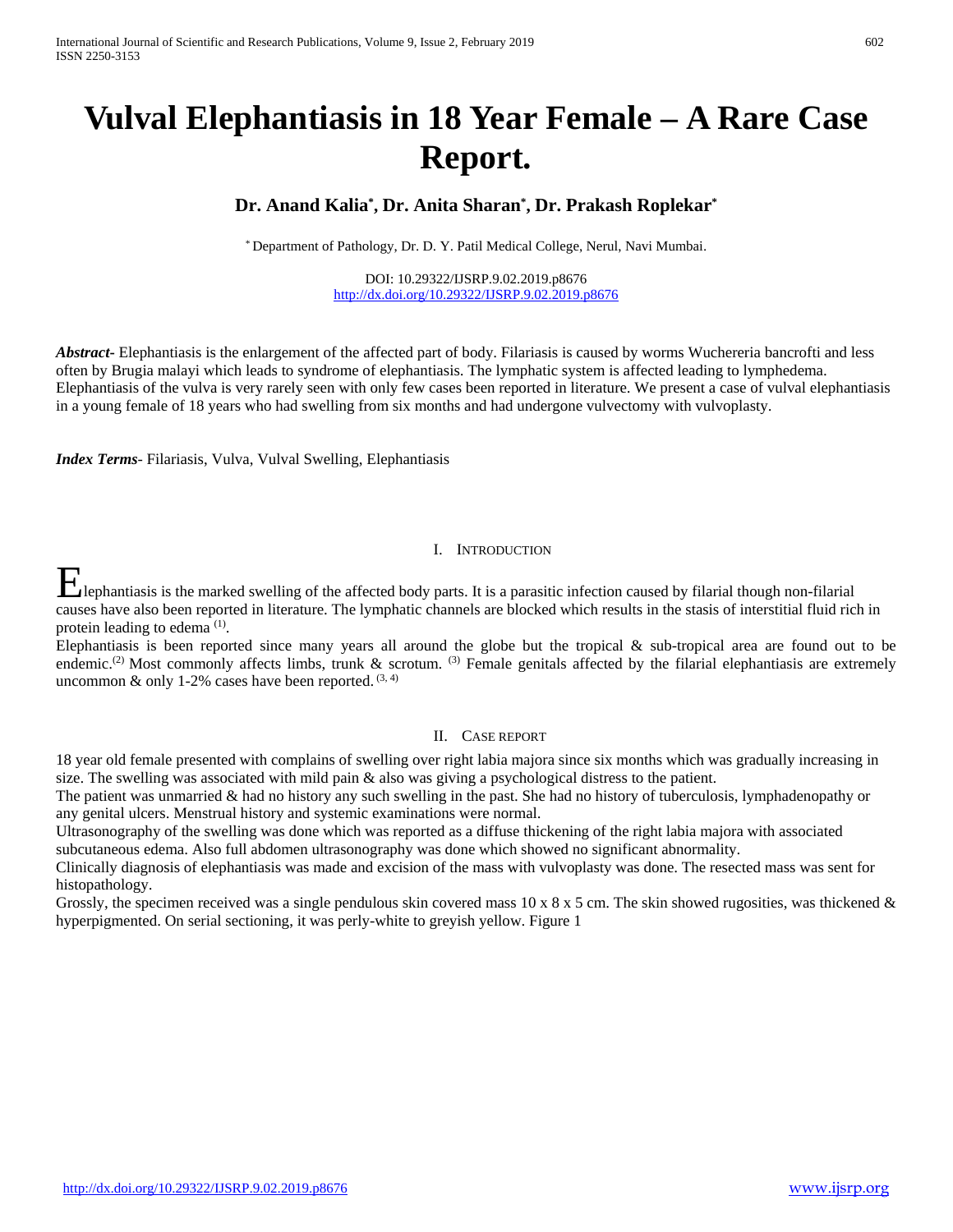# **Vulval Elephantiasis in 18 Year Female – A Rare Case Report.**

# **Dr. Anand Kalia\* , Dr. Anita Sharan\* , Dr. Prakash Roplekar\***

\* Department of Pathology, Dr. D. Y. Patil Medical College, Nerul, Navi Mumbai.

DOI: 10.29322/IJSRP.9.02.2019.p8676 <http://dx.doi.org/10.29322/IJSRP.9.02.2019.p8676>

*Abstract***-** Elephantiasis is the enlargement of the affected part of body. Filariasis is caused by worms Wuchereria bancrofti and less often by Brugia malayi which leads to syndrome of elephantiasis. The lymphatic system is affected leading to lymphedema. Elephantiasis of the vulva is very rarely seen with only few cases been reported in literature. We present a case of vulval elephantiasis in a young female of 18 years who had swelling from six months and had undergone vulvectomy with vulvoplasty.

*Index Terms*- Filariasis, Vulva, Vulval Swelling, Elephantiasis

#### I. INTRODUCTION

Elephantiasis is the marked swelling of the affected body parts. It is a parasitic infection caused by filarial though non-filarial though in the state of the state of the state of the state of the state of the state of th causes have also been reported in literature. The lymphatic channels are blocked which results in the stasis of interstitial fluid rich in protein leading to edema (1).

Elephantiasis is been reported since many years all around the globe but the tropical  $\&$  sub-tropical area are found out to be endemic.<sup>(2)</sup> Most commonly affects limbs, trunk & scrotum. <sup>(3)</sup> Female genitals affected by the filarial elephantiasis are extremely uncommon & only 1-2% cases have been reported.  $(3, 4)$ 

#### II. CASE REPORT

18 year old female presented with complains of swelling over right labia majora since six months which was gradually increasing in size. The swelling was associated with mild pain & also was giving a psychological distress to the patient.

The patient was unmarried & had no history any such swelling in the past. She had no history of tuberculosis, lymphadenopathy or any genital ulcers. Menstrual history and systemic examinations were normal.

Ultrasonography of the swelling was done which was reported as a diffuse thickening of the right labia majora with associated subcutaneous edema. Also full abdomen ultrasonography was done which showed no significant abnormality.

Clinically diagnosis of elephantiasis was made and excision of the mass with vulvoplasty was done. The resected mass was sent for histopathology.

Grossly, the specimen received was a single pendulous skin covered mass 10 x 8 x 5 cm. The skin showed rugosities, was thickened  $\&$ hyperpigmented. On serial sectioning, it was perly-white to greyish yellow. Figure 1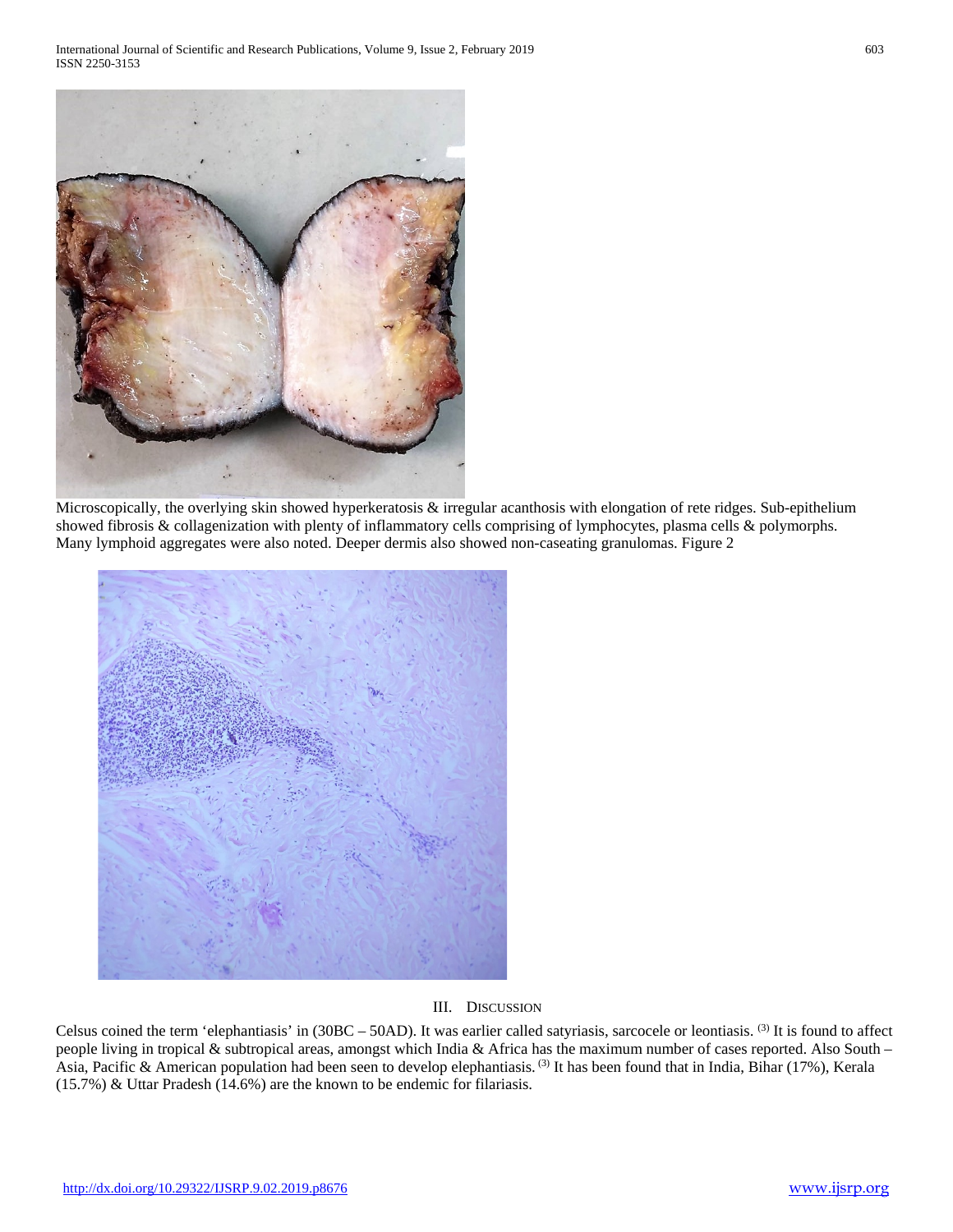

Microscopically, the overlying skin showed hyperkeratosis & irregular acanthosis with elongation of rete ridges. Sub-epithelium showed fibrosis & collagenization with plenty of inflammatory cells comprising of lymphocytes, plasma cells & polymorphs. Many lymphoid aggregates were also noted. Deeper dermis also showed non-caseating granulomas. Figure 2



# III. DISCUSSION

Celsus coined the term 'elephantiasis' in  $(30BC - 50AD)$ . It was earlier called satyriasis, sarcocele or leontiasis. <sup>(3)</sup> It is found to affect people living in tropical & subtropical areas, amongst which India & Africa has the maximum number of cases reported. Also South – Asia, Pacific & American population had been seen to develop elephantiasis. (3) It has been found that in India, Bihar (17%), Kerala (15.7%) & Uttar Pradesh (14.6%) are the known to be endemic for filariasis.